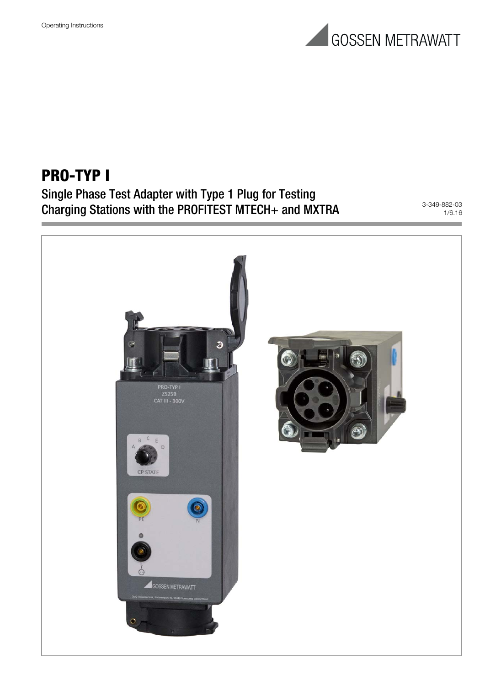

## **PRO-TYP I**

Single Phase Test Adapter with Type 1 Plug for Testing Charging Stations with the PROFITEST MTECH+ and MXTRA 3-349-882-03

1/6.16

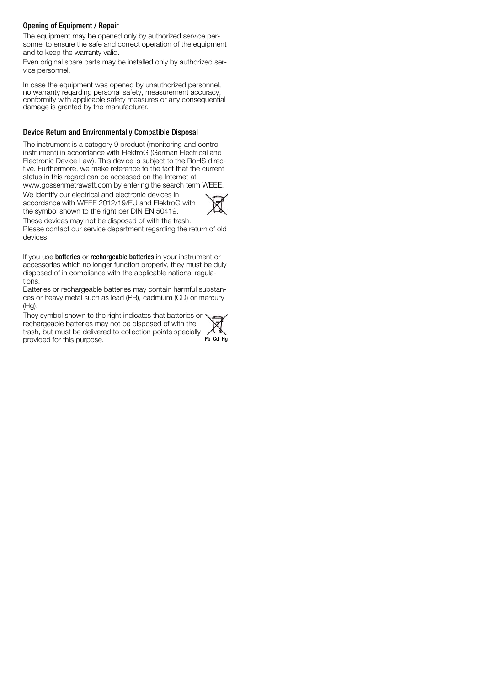#### Opening of Equipment / Repair

The equipment may be opened only by authorized service personnel to ensure the safe and correct operation of the equipment and to keep the warranty valid.

Even original spare parts may be installed only by authorized service personnel.

In case the equipment was opened by unauthorized personnel, no warranty regarding personal safety, measurement accuracy, conformity with applicable safety measures or any consequential damage is granted by the manufacturer.

#### Device Return and Environmentally Compatible Disposal

The instrument is a category 9 product (monitoring and control instrument) in accordance with ElektroG (German Electrical and Electronic Device Law). This device is subject to the RoHS directive. Furthermore, we make reference to the fact that the current status in this regard can be accessed on the Internet at www.gossenmetrawatt.com by entering the search term WEEE.

We identify our electrical and electronic devices in accordance with WEEE 2012/19/EU and ElektroG with

the symbol shown to the right per DIN EN 50419.



These devices may not be disposed of with the trash. Please contact our service department regarding the return of old devices.

If you use **batteries** or **rechargeable batteries** in your instrument or accessories which no longer function properly, they must be duly disposed of in compliance with the applicable national regulations.

Batteries or rechargeable batteries may contain harmful substances or heavy metal such as lead (PB), cadmium (CD) or mercury (Hg).

They symbol shown to the right indicates that batteries or rechargeable batteries may not be disposed of with the trash, but must be delivered to collection points specially provided for this purpose.

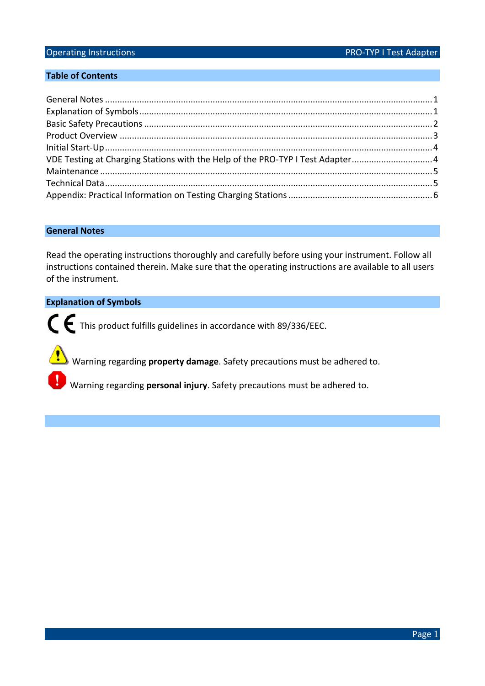#### **Table of Contents**

| VDE Testing at Charging Stations with the Help of the PRO-TYP I Test Adapter4 |  |
|-------------------------------------------------------------------------------|--|
|                                                                               |  |
|                                                                               |  |
|                                                                               |  |

#### **General Notes**

Read the operating instructions thoroughly and carefully before using your instrument. Follow all instructions contained therein. Make sure that the operating instructions are available to all users of the instrument.

### **Explanation of Symbols**

This product fulfills guidelines in accordance with 89/336/EEC.

Warning regarding **property damage**. Safety precautions must be adhered to.

Warning regarding **personal injury**. Safety precautions must be adhered to.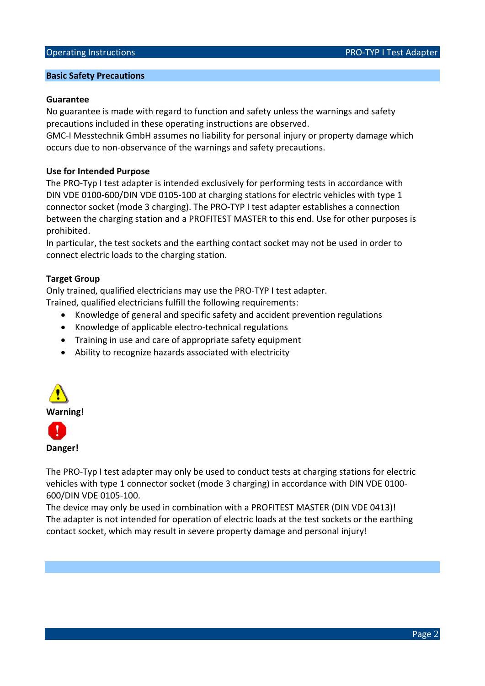#### **Basic Safety Precautions**

#### **Guarantee**

No guarantee is made with regard to function and safety unless the warnings and safety precautions included in these operating instructions are observed.

GMC-I Messtechnik GmbH assumes no liability for personal injury or property damage which occurs due to non-observance of the warnings and safety precautions.

#### **Use for Intended Purpose**

The PRO-Typ I test adapter is intended exclusively for performing tests in accordance with DIN VDE 0100-600/DIN VDE 0105-100 at charging stations for electric vehicles with type 1 connector socket (mode 3 charging). The PRO-TYP I test adapter establishes a connection between the charging station and a PROFITEST MASTER to this end. Use for other purposes is prohibited.

In particular, the test sockets and the earthing contact socket may not be used in order to connect electric loads to the charging station.

#### **Target Group**

Only trained, qualified electricians may use the PRO-TYP I test adapter.

Trained, qualified electricians fulfill the following requirements:

- Knowledge of general and specific safety and accident prevention regulations
- Knowledge of applicable electro-technical regulations
- Training in use and care of appropriate safety equipment
- Ability to recognize hazards associated with electricity





The PRO-Typ I test adapter may only be used to conduct tests at charging stations for electric vehicles with type 1 connector socket (mode 3 charging) in accordance with DIN VDE 0100- 600/DIN VDE 0105-100.

The device may only be used in combination with a PROFITEST MASTER (DIN VDE 0413)! The adapter is not intended for operation of electric loads at the test sockets or the earthing contact socket, which may result in severe property damage and personal injury!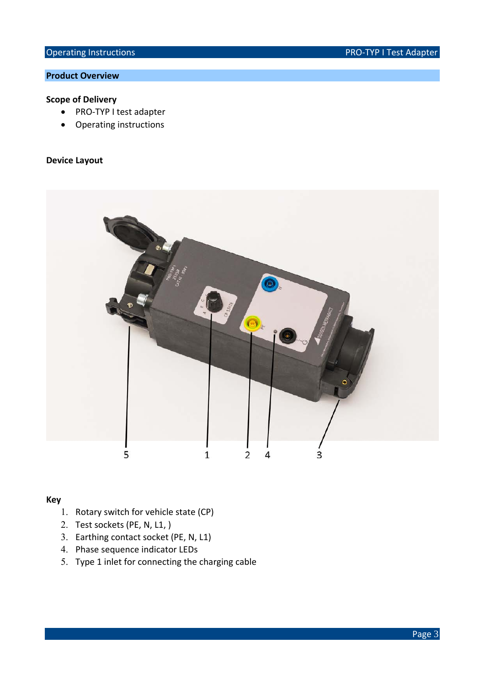### **Product Overview**

### **Scope of Delivery**

- PRO-TYP I test adapter
- Operating instructions

#### **Device Layout**



### **Key**

- 1. Rotary switch for vehicle state (CP)
- 2. Test sockets (PE, N, L1, )
- 3. Earthing contact socket (PE, N, L1)
- 4. Phase sequence indicator LEDs
- 5. Type 1 inlet for connecting the charging cable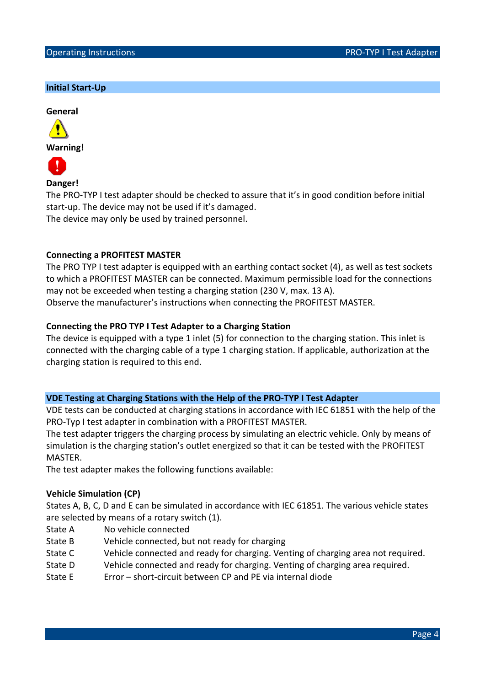### **Initial Start-Up**





**Danger!** 

The PRO-TYP I test adapter should be checked to assure that it's in good condition before initial start-up. The device may not be used if it's damaged.

The device may only be used by trained personnel.

### **Connecting a PROFITEST MASTER**

The PRO TYP I test adapter is equipped with an earthing contact socket (4), as well as test sockets to which a PROFITEST MASTER can be connected. Maximum permissible load for the connections may not be exceeded when testing a charging station (230 V, max. 13 A). Observe the manufacturer's instructions when connecting the PROFITEST MASTER.

### **Connecting the PRO TYP I Test Adapter to a Charging Station**

The device is equipped with a type 1 inlet (5) for connection to the charging station. This inlet is connected with the charging cable of a type 1 charging station. If applicable, authorization at the charging station is required to this end.

### **VDE Testing at Charging Stations with the Help of the PRO-TYP I Test Adapter**

VDE tests can be conducted at charging stations in accordance with IEC 61851 with the help of the PRO-Typ I test adapter in combination with a PROFITEST MASTER.

The test adapter triggers the charging process by simulating an electric vehicle. Only by means of simulation is the charging station's outlet energized so that it can be tested with the PROFITEST MASTER.

The test adapter makes the following functions available:

### **Vehicle Simulation (CP)**

States A, B, C, D and E can be simulated in accordance with IEC 61851. The various vehicle states are selected by means of a rotary switch (1).

- State A No vehicle connected
- State B Vehicle connected, but not ready for charging
- State C Vehicle connected and ready for charging. Venting of charging area not required.
- State D Vehicle connected and ready for charging. Venting of charging area required.
- State F Frror short-circuit between CP and PF via internal diode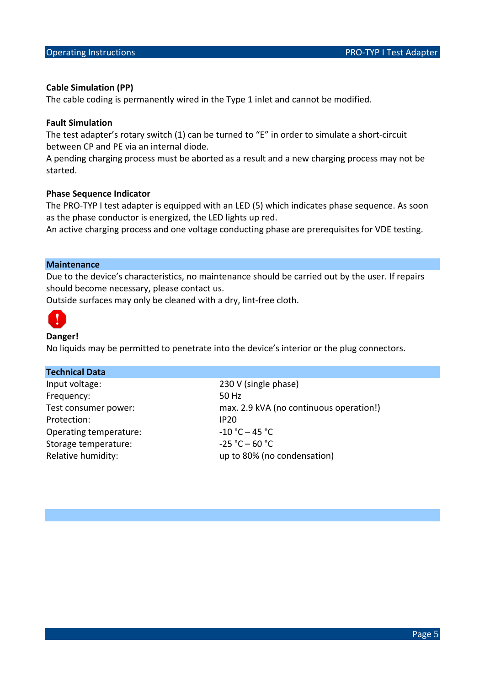#### **Cable Simulation (PP)**

The cable coding is permanently wired in the Type 1 inlet and cannot be modified.

#### **Fault Simulation**

The test adapter's rotary switch (1) can be turned to "E" in order to simulate a short-circuit between CP and PE via an internal diode.

A pending charging process must be aborted as a result and a new charging process may not be started.

#### **Phase Sequence Indicator**

The PRO-TYP I test adapter is equipped with an LED (5) which indicates phase sequence. As soon as the phase conductor is energized, the LED lights up red.

An active charging process and one voltage conducting phase are prerequisites for VDE testing.

### **Maintenance**

Due to the device's characteristics, no maintenance should be carried out by the user. If repairs should become necessary, please contact us.

Outside surfaces may only be cleaned with a dry, lint-free cloth.



### **Danger!**

No liquids may be permitted to penetrate into the device's interior or the plug connectors.

### **Technical Data**

Input voltage: 230 V (single phase) Frequency: 50 Hz Protection: IP20 Operating temperature:  $-10 °C - 45 °C$ Storage temperature:  $-25 °C - 60 °C$ 

Test consumer power: max. 2.9 kVA (no continuous operation!) Relative humidity: and the same variable values of the selection of Relative humidity: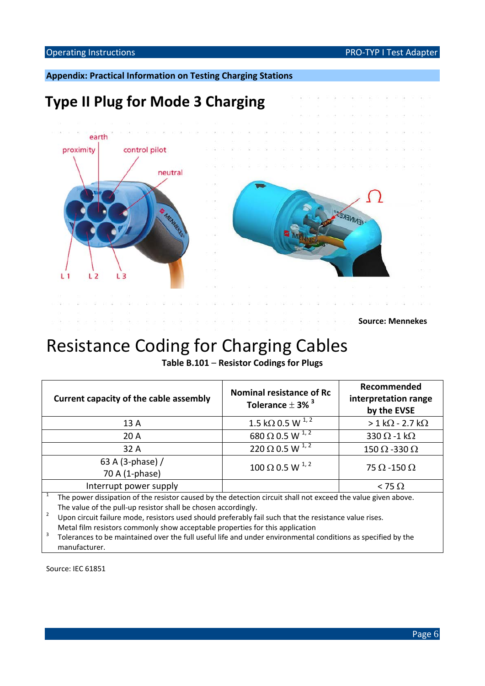#### Operating Instructions **PRO-TYP I Test Adapter** PRO-TYP I Test Adapter

**Appendix: Practical Information on Testing Charging Stations**

## **Type II Plug for Mode 3 Charging**



**Source: Mennekes**

## Resistance Coding for Charging Cables

**Table B.101** – **Resistor Codings for Plugs**

| Current capacity of the cable assembly | Nominal resistance of Rc<br>Tolerance $\pm$ 3% $^3$ | Recommended<br>interpretation range<br>by the EVSE |  |  |
|----------------------------------------|-----------------------------------------------------|----------------------------------------------------|--|--|
| 13 A                                   | 1.5 k $\Omega$ 0.5 W $^{1,2}$                       | $> 1$ k $\Omega$ - 2.7 k $\Omega$                  |  |  |
| 20 A                                   | 680 $\Omega$ 0.5 W $^{1,2}$                         | 330 $\Omega$ -1 k $\Omega$                         |  |  |
| 32 A                                   | 220 $\Omega$ 0.5 W $^{1,2}$                         | 150 $\Omega$ -330 $\Omega$                         |  |  |
| 63 A (3-phase) /<br>70 A (1-phase)     | $100 \Omega$ 0.5 W $^{1,2}$                         | 75 $\Omega$ -150 $\Omega$                          |  |  |
| Interrupt power supply                 |                                                     | $<$ 75 $\Omega$                                    |  |  |
|                                        |                                                     |                                                    |  |  |

<sup>1</sup> The power dissipation of the resistor caused by the detection circuit shall not exceed the value given above. The value of the pull-up resistor shall be chosen accordingly.<br><sup>2</sup> Upon circuit failure mode, resistors used should preferably fail such that the resistance value rises.

Metal film resistors commonly show acceptable properties for this application<br> $3$  Tolerances to be maintained over the full useful life and under environmental conditions as specified by the manufacturer.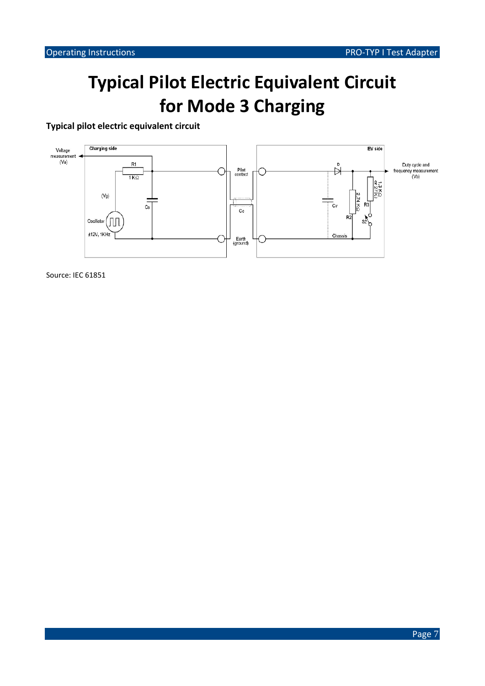# **Typical Pilot Electric Equivalent Circuit for Mode 3 Charging**

**Typical pilot electric equivalent circuit**

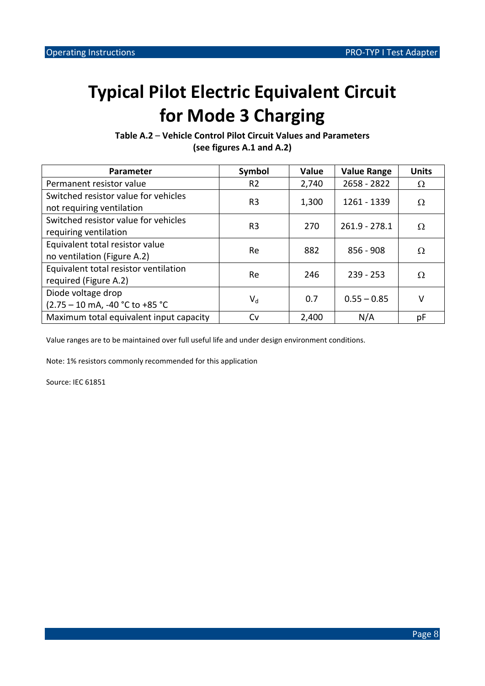# **Typical Pilot Electric Equivalent Circuit for Mode 3 Charging**

**Table A.2** – **Vehicle Control Pilot Circuit Values and Parameters (see figures A.1 and A.2)**

| <b>Parameter</b>                                                  | Symbol                    | Value | <b>Value Range</b> | <b>Units</b> |
|-------------------------------------------------------------------|---------------------------|-------|--------------------|--------------|
| Permanent resistor value                                          | R <sub>2</sub>            | 2,740 | $2658 - 2822$      | Ω            |
| Switched resistor value for vehicles<br>not requiring ventilation | R <sub>3</sub>            | 1,300 | 1261 - 1339        | Ω            |
| Switched resistor value for vehicles<br>requiring ventilation     | R <sub>3</sub>            | 270   | $261.9 - 278.1$    | Ω            |
| Equivalent total resistor value<br>no ventilation (Figure A.2)    | Re.                       | 882   | $856 - 908$        | Ω            |
| Equivalent total resistor ventilation<br>required (Figure A.2)    | Re.                       | 246   | $239 - 253$        | Ω            |
| Diode voltage drop<br>(2.75 – 10 mA, -40 °C to +85 °C             | $\mathsf{V}_{\mathsf{d}}$ | 0.7   | $0.55 - 0.85$      | v            |
| Maximum total equivalent input capacity                           | Cv                        | 2,400 | N/A                | рF           |

Value ranges are to be maintained over full useful life and under design environment conditions.

Note: 1% resistors commonly recommended for this application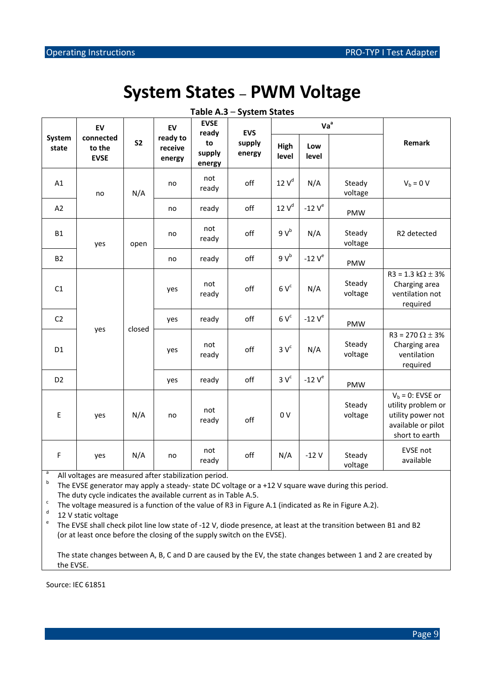## **System States – PWM Voltage**

|                 | EV                                 |                |                               |                        | EV               | <b>EVSE</b><br>ready | <b>EVS</b>   |                   | Va <sup>a</sup>                                                                                       |  |  |
|-----------------|------------------------------------|----------------|-------------------------------|------------------------|------------------|----------------------|--------------|-------------------|-------------------------------------------------------------------------------------------------------|--|--|
| System<br>state | connected<br>to the<br><b>EVSE</b> | S <sub>2</sub> | ready to<br>receive<br>energy | to<br>supply<br>energy | supply<br>energy | High<br>level        | Low<br>level |                   | Remark                                                                                                |  |  |
| A1              | no                                 | N/A            | no                            | not<br>ready           | off              | 12V <sup>d</sup>     | N/A          | Steady<br>voltage | $V_b = 0 V$                                                                                           |  |  |
| A2              |                                    |                | no                            | ready                  | off              | $12V^d$              | -12 $V^e$    | PMW               |                                                                                                       |  |  |
| <b>B1</b>       | yes                                | open           | no                            | not<br>ready           | off              | $9V^b$               | N/A          | Steady<br>voltage | R2 detected                                                                                           |  |  |
| <b>B2</b>       |                                    |                | no                            | ready                  | off              | $9V^b$               | -12 $V^e$    | PMW               |                                                                                                       |  |  |
| C1              |                                    |                | yes                           | not<br>ready           | off              | $6V^c$               | N/A          | Steady<br>voltage | $R3 = 1.3 k\Omega \pm 3%$<br>Charging area<br>ventilation not<br>required                             |  |  |
| C <sub>2</sub>  |                                    |                | yes                           | ready                  | off              | $6V^c$               | -12 $V^e$    | PMW               |                                                                                                       |  |  |
| D <sub>1</sub>  | closed<br>yes                      |                | yes                           | not<br>ready           | off              | 3V <sup>c</sup>      | N/A          | Steady<br>voltage | R3 = 270 $\Omega$ ± 3%<br>Charging area<br>ventilation<br>required                                    |  |  |
| D <sub>2</sub>  |                                    |                | yes                           | ready                  | off              | 3V <sup>c</sup>      | -12 $V^e$    | PMW               |                                                                                                       |  |  |
| $\sf E$         | yes                                | N/A            | no                            | not<br>ready           | off              | 0 <sub>V</sub>       |              | Steady<br>voltage | $Vb = 0$ : EVSE or<br>utility problem or<br>utility power not<br>available or pilot<br>short to earth |  |  |
| F               | yes                                | N/A            | no                            | not<br>ready           | off              | N/A                  | $-12V$       | Steady<br>voltage | EVSE not<br>available                                                                                 |  |  |

**Table A.3** – **System States**

<sup>a</sup> All voltages are measured after stabilization period.<br><sup>b</sup> The EVSE generator may apply a steady- state DC voltage or a +12 V square wave during this period.

The duty cycle indicates the available current as in Table A.5.<br>
The voltage measured is a function of the value of R3 in Figure A.1 (indicated as Re in Figure A.2).<br>
12 V static voltage<br>
<sup>e</sup> The EVSE shall check pilot li (or at least once before the closing of the supply switch on the EVSE).

The state changes between A, B, C and D are caused by the EV, the state changes between 1 and 2 are created by the EVSE.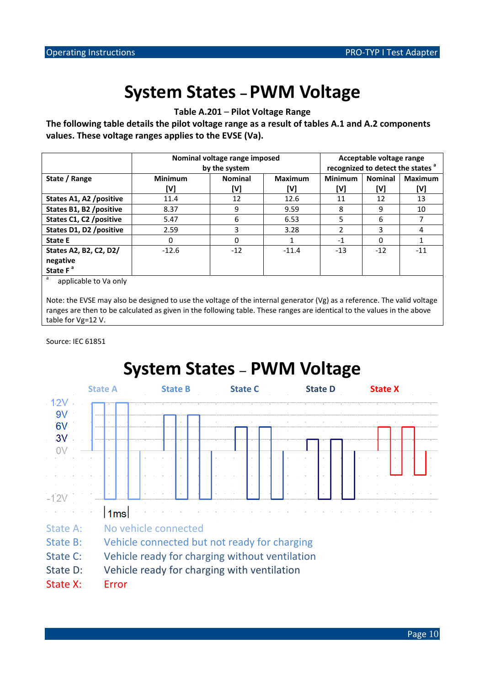# **System States – PWM Voltage**

**Table A.201** – **Pilot Voltage Range**

**The following table details the pilot voltage range as a result of tables A.1 and A.2 components values. These voltage ranges applies to the EVSE (Va).**

|                                                                         | Nominal voltage range imposed<br>by the system |                |                | Acceptable voltage range<br>recognized to detect the states <sup>a</sup> |                |                |  |
|-------------------------------------------------------------------------|------------------------------------------------|----------------|----------------|--------------------------------------------------------------------------|----------------|----------------|--|
| State / Range                                                           | <b>Minimum</b>                                 | <b>Nominal</b> | <b>Maximum</b> | <b>Minimum</b>                                                           | <b>Nominal</b> | <b>Maximum</b> |  |
|                                                                         | [V]                                            | [V]            | [V]            | [V]                                                                      | [V]            | [V]            |  |
| States A1, A2 /positive                                                 | 11.4                                           | 12             | 12.6           | 11                                                                       | 12             | 13             |  |
| States B1, B2 /positive                                                 | 8.37                                           | 9              | 9.59           | 8                                                                        | 9              | 10             |  |
| States C1, C2 /positive                                                 | 5.47                                           | 6              | 6.53           | 5                                                                        | 6              |                |  |
| States D1, D2 / positive                                                | 2.59                                           | 3              | 3.28           | 2                                                                        | 3              | 4              |  |
| <b>State E</b>                                                          | 0                                              | 0              |                | $-1$                                                                     | ŋ              |                |  |
| States A2, B2, C2, D2/                                                  | $-12.6$                                        | $-12$          | $-11.4$        | $-13$                                                                    | $-12$          | $-11$          |  |
| negative                                                                |                                                |                |                |                                                                          |                |                |  |
| State F <sup>a</sup>                                                    |                                                |                |                |                                                                          |                |                |  |
| $\overline{a}$ and $\overline{a}$ and $\overline{a}$ and $\overline{a}$ |                                                |                |                |                                                                          |                |                |  |

applicable to Va only

Note: the EVSE may also be designed to use the voltage of the internal generator (Vg) as a reference. The valid voltage ranges are then to be calculated as given in the following table. These ranges are identical to the values in the above table for Vg=12 V.

Source: IEC 61851



Page 10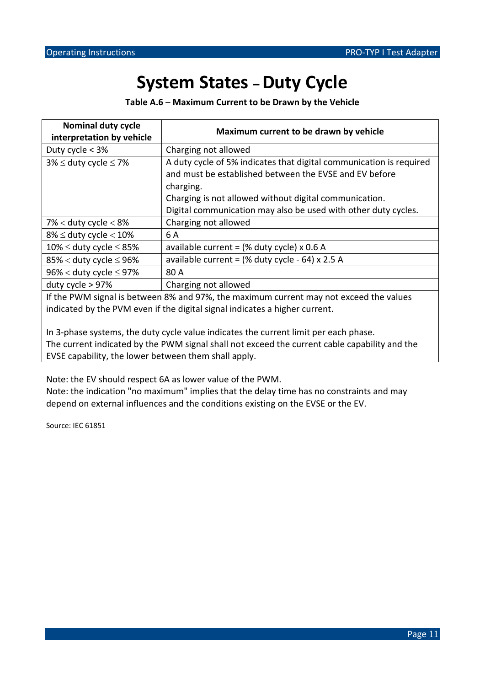# **System States –Duty Cycle**

**Table A.6** – **Maximum Current to be Drawn by the Vehicle**

| Nominal duty cycle<br>interpretation by vehicle                                                                                                                       | Maximum current to be drawn by vehicle                                                                                                                                                                                                                                 |  |  |  |
|-----------------------------------------------------------------------------------------------------------------------------------------------------------------------|------------------------------------------------------------------------------------------------------------------------------------------------------------------------------------------------------------------------------------------------------------------------|--|--|--|
| Duty cycle $<$ 3%                                                                                                                                                     | Charging not allowed                                                                                                                                                                                                                                                   |  |  |  |
| $3\% \leq$ duty cycle $\leq 7\%$                                                                                                                                      | A duty cycle of 5% indicates that digital communication is required<br>and must be established between the EVSE and EV before<br>charging.<br>Charging is not allowed without digital communication.<br>Digital communication may also be used with other duty cycles. |  |  |  |
| $7\%$ < duty cycle < 8%                                                                                                                                               | Charging not allowed                                                                                                                                                                                                                                                   |  |  |  |
| $8\% \leq$ duty cycle $< 10\%$                                                                                                                                        | 6 A                                                                                                                                                                                                                                                                    |  |  |  |
| $10\% \leq$ duty cycle $\leq 85\%$                                                                                                                                    | available current = $%$ duty cycle) x 0.6 A                                                                                                                                                                                                                            |  |  |  |
| 85% < duty cycle $\leq$ 96%                                                                                                                                           | available current = $(%$ duty cycle - 64) x 2.5 A                                                                                                                                                                                                                      |  |  |  |
| $96\% <$ duty cycle $\leq 97\%$                                                                                                                                       | 80 A                                                                                                                                                                                                                                                                   |  |  |  |
| duty cycle $> 97\%$                                                                                                                                                   | Charging not allowed                                                                                                                                                                                                                                                   |  |  |  |
| If the PWM signal is between 8% and 97%, the maximum current may not exceed the values<br>indicated by the PVM even if the digital signal indicates a higher current. |                                                                                                                                                                                                                                                                        |  |  |  |

In 3-phase systems, the duty cycle value indicates the current limit per each phase. The current indicated by the PWM signal shall not exceed the current cable capability and the EVSE capability, the lower between them shall apply.

Note: the EV should respect 6A as lower value of the PWM.

Note: the indication "no maximum" implies that the delay time has no constraints and may depend on external influences and the conditions existing on the EVSE or the EV.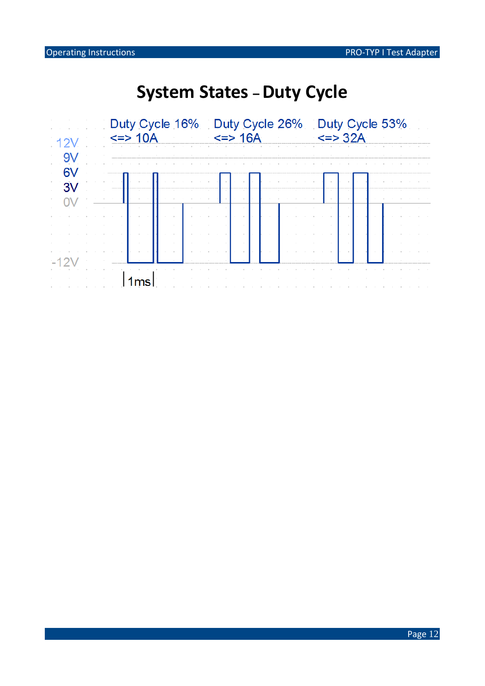# **System States - Duty Cycle**